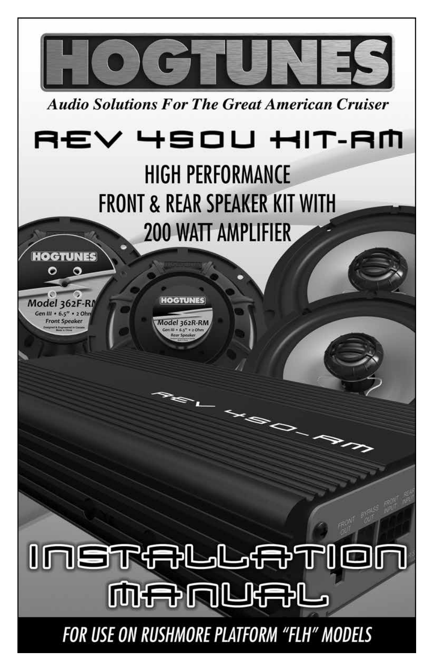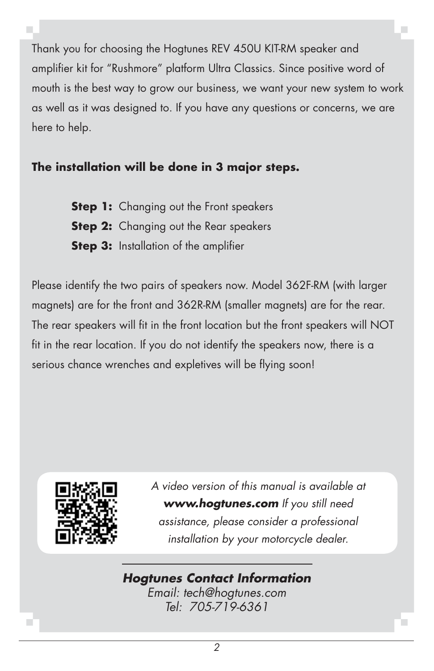Thank you for choosing the Hogtunes REV 450U KIT-RM speaker and amplifier kit for "Rushmore" platform Ultra Classics. Since positive word of mouth is the best way to grow our business, we want your new system to work as well as it was designed to. If you have any questions or concerns, we are here to help.

#### **The installation will be done in 3 major steps.**

**Step 1:** Changing out the Front speakers **Step 2:** Changing out the Rear speakers **Step 3:** Installation of the amplifier

Please identify the two pairs of speakers now. Model 362F-RM (with larger magnets) are for the front and 362R-RM (smaller magnets) are for the rear. The rear speakers will fit in the front location but the front speakers will NOT fit in the rear location. If you do not identify the speakers now, there is a serious chance wrenches and expletives will be flying soon!



*A video version of this manual is available at www.hogtunes.com If you still need assistance, please consider a professional installation by your motorcycle dealer.*

#### *Hogtunes Contact Information*

*Email: tech@hogtunes.com Tel: 705-719-6361*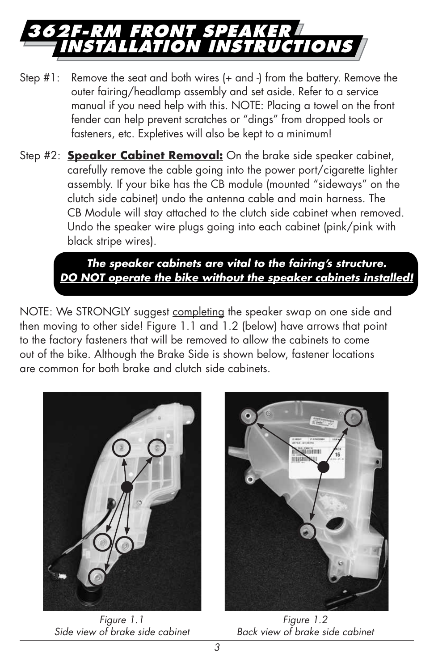## **362F-RM Front Speaker Installation Instructions**

- Step #1: Remove the seat and both wires (+ and -) from the battery. Remove the outer fairing/headlamp assembly and set aside. Refer to a service manual if you need help with this. NOTE: Placing a towel on the front fender can help prevent scratches or "dings" from dropped tools or fasteners, etc. Expletives will also be kept to a minimum!
- Step #2: **Speaker Cabinet Removal:** On the brake side speaker cabinet, carefully remove the cable going into the power port/cigarette lighter assembly. If your bike has the CB module (mounted "sideways" on the clutch side cabinet) undo the antenna cable and main harness. The CB Module will stay attached to the clutch side cabinet when removed. Undo the speaker wire plugs going into each cabinet (pink/pink with black stripe wires).

 *The speaker cabinets are vital to the fairing's structure. DO NOT operate the bike without the speaker cabinets installed!*

NOTE: We STRONGLY suggest completing the speaker swap on one side and then moving to other side! Figure 1.1 and 1.2 (below) have arrows that point to the factory fasteners that will be removed to allow the cabinets to come out of the bike. Although the Brake Side is shown below, fastener locations are common for both brake and clutch side cabinets.



*Figure 1.1 Side view of brake side cabinet*



*Figure 1.2 Back view of brake side cabinet*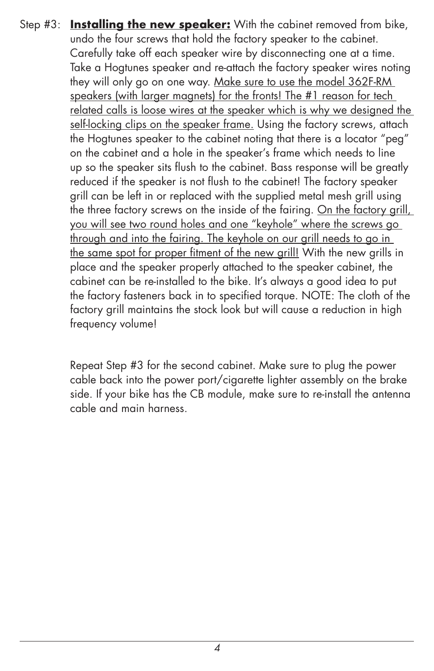Step #3: **Installing the new speaker:** With the cabinet removed from bike, undo the four screws that hold the factory speaker to the cabinet. Carefully take off each speaker wire by disconnecting one at a time. Take a Hogtunes speaker and re-attach the factory speaker wires noting they will only go on one way. Make sure to use the model 362F-RM speakers (with larger magnets) for the fronts! The #1 reason for tech related calls is loose wires at the speaker which is why we designed the self-locking clips on the speaker frame. Using the factory screws, attach the Hogtunes speaker to the cabinet noting that there is a locator "peg" on the cabinet and a hole in the speaker's frame which needs to line up so the speaker sits flush to the cabinet. Bass response will be greatly reduced if the speaker is not flush to the cabinet! The factory speaker grill can be left in or replaced with the supplied metal mesh grill using the three factory screws on the inside of the fairing. On the factory grill, you will see two round holes and one "keyhole" where the screws go through and into the fairing. The keyhole on our grill needs to go in the same spot for proper fitment of the new grill! With the new grills in place and the speaker properly attached to the speaker cabinet, the cabinet can be re-installed to the bike. It's always a good idea to put the factory fasteners back in to specified torque. NOTE: The cloth of the factory grill maintains the stock look but will cause a reduction in high frequency volume!

> Repeat Step #3 for the second cabinet. Make sure to plug the power cable back into the power port/cigarette lighter assembly on the brake side. If your bike has the CB module, make sure to re-install the antenna cable and main harness.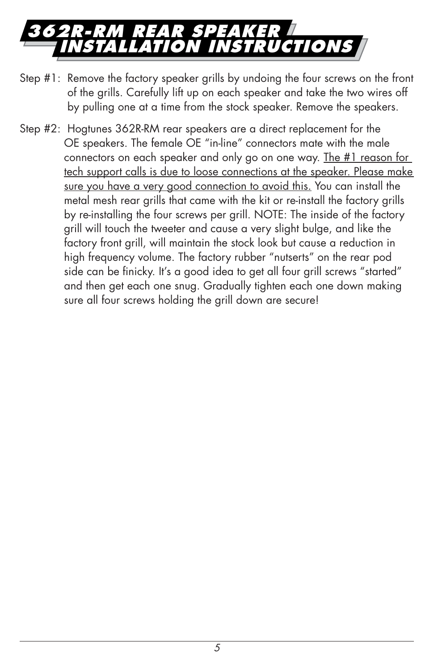## **362R-RM rear Speaker ION INSTRUCTIONS**

- Step #1: Remove the factory speaker grills by undoing the four screws on the front of the grills. Carefully lift up on each speaker and take the two wires off by pulling one at a time from the stock speaker. Remove the speakers.
- Step #2: Hogtunes 362R-RM rear speakers are a direct replacement for the OE speakers. The female OE "in-line" connectors mate with the male connectors on each speaker and only go on one way. The #1 reason for tech support calls is due to loose connections at the speaker. Please make sure you have a very good connection to avoid this. You can install the metal mesh rear grills that came with the kit or re-install the factory grills by re-installing the four screws per grill. NOTE: The inside of the factory grill will touch the tweeter and cause a very slight bulge, and like the factory front grill, will maintain the stock look but cause a reduction in high frequency volume. The factory rubber "nutserts" on the rear pod side can be finicky. It's a good idea to get all four grill screws "started" and then get each one snug. Gradually tighten each one down making sure all four screws holding the grill down are secure!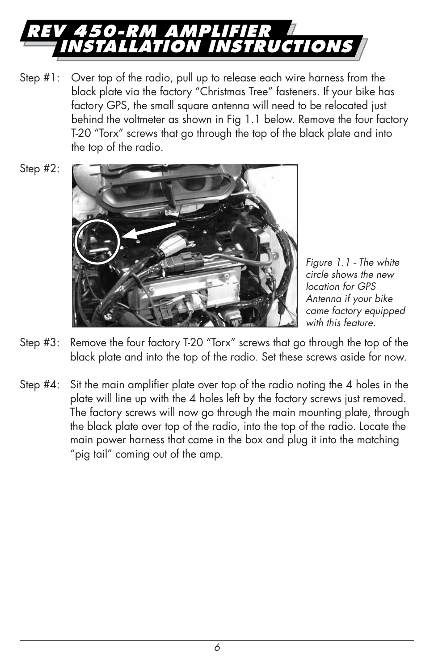

- Step #1: Over top of the radio, pull up to release each wire harness from the black plate via the factory "Christmas Tree" fasteners. If your bike has factory GPS, the small square antenna will need to be relocated just behind the voltmeter as shown in Fig 1.1 below. Remove the four factory T-20 "Torx" screws that go through the top of the black plate and into the top of the radio.
- Step #2:



*Figure 1.1 - The white circle shows the new location for GPS Antenna if your bike came factory equipped with this feature.*

- Step #3: Remove the four factory T-20 "Torx" screws that go through the top of the black plate and into the top of the radio. Set these screws aside for now.
- Step #4: Sit the main amplifier plate over top of the radio noting the 4 holes in the plate will line up with the 4 holes left by the factory screws just removed. The factory screws will now go through the main mounting plate, through the black plate over top of the radio, into the top of the radio. Locate the main power harness that came in the box and plug it into the matching "pig tail" coming out of the amp.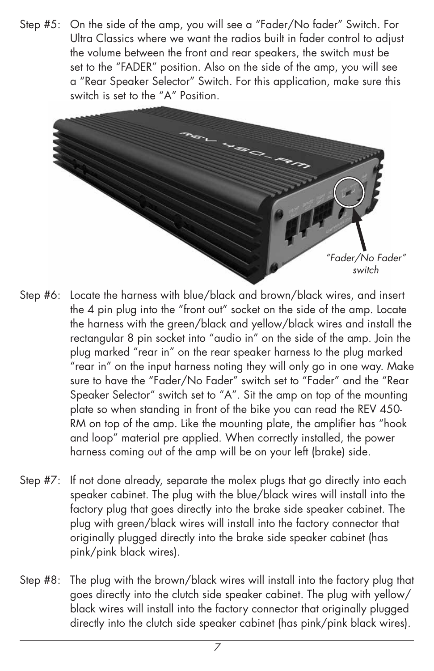Step #5: On the side of the amp, you will see a "Fader/No fader" Switch. For Ultra Classics where we want the radios built in fader control to adjust the volume between the front and rear speakers, the switch must be set to the "FADER" position. Also on the side of the amp, you will see a "Rear Speaker Selector" Switch. For this application, make sure this switch is set to the "A" Position.



- Step #6: Locate the harness with blue/black and brown/black wires, and insert the 4 pin plug into the "front out" socket on the side of the amp. Locate the harness with the green/black and yellow/black wires and install the rectangular 8 pin socket into "audio in" on the side of the amp. Join the plug marked "rear in" on the rear speaker harness to the plug marked "rear in" on the input harness noting they will only go in one way. Make sure to have the "Fader/No Fader" switch set to "Fader" and the "Rear Speaker Selector" switch set to "A". Sit the amp on top of the mounting plate so when standing in front of the bike you can read the REV 450- RM on top of the amp. Like the mounting plate, the amplifier has "hook and loop" material pre applied. When correctly installed, the power harness coming out of the amp will be on your left (brake) side.
- Step #7: If not done already, separate the molex plugs that go directly into each speaker cabinet. The plug with the blue/black wires will install into the factory plug that goes directly into the brake side speaker cabinet. The plug with green/black wires will install into the factory connector that originally plugged directly into the brake side speaker cabinet (has pink/pink black wires).
- Step #8: The plug with the brown/black wires will install into the factory plug that goes directly into the clutch side speaker cabinet. The plug with yellow/ black wires will install into the factory connector that originally plugged directly into the clutch side speaker cabinet (has pink/pink black wires).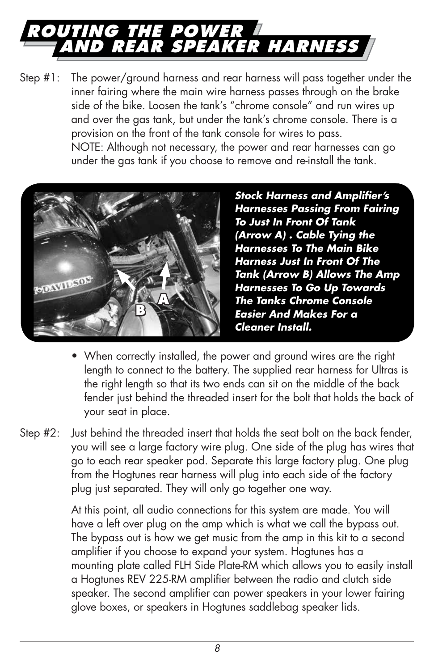## **routing the power and rear speaker harness**

Step #1: The power/ground harness and rear harness will pass together under the inner fairing where the main wire harness passes through on the brake side of the bike. Loosen the tank's "chrome console" and run wires up and over the gas tank, but under the tank's chrome console. There is a provision on the front of the tank console for wires to pass. NOTE: Although not necessary, the power and rear harnesses can go under the gas tank if you choose to remove and re-install the tank.



*Stock Harness and Amplifier's Harnesses Passing From Fairing To Just In Front Of Tank (Arrow A) . Cable Tying the Harnesses To The Main Bike Harness Just In Front Of The Tank (Arrow B) Allows The Amp Harnesses To Go Up Towards The Tanks Chrome Console Easier And Makes For a Cleaner Install.*

- When correctly installed, the power and ground wires are the right length to connect to the battery. The supplied rear harness for Ultras is the right length so that its two ends can sit on the middle of the back fender just behind the threaded insert for the bolt that holds the back of your seat in place.
- Step #2: Just behind the threaded insert that holds the seat bolt on the back fender, you will see a large factory wire plug. One side of the plug has wires that go to each rear speaker pod. Separate this large factory plug. One plug from the Hogtunes rear harness will plug into each side of the factory plug just separated. They will only go together one way.

 At this point, all audio connections for this system are made. You will have a left over plug on the amp which is what we call the bypass out. The bypass out is how we get music from the amp in this kit to a second amplifier if you choose to expand your system. Hogtunes has a mounting plate called FLH Side Plate-RM which allows you to easily install a Hogtunes REV 225-RM amplifier between the radio and clutch side speaker. The second amplifier can power speakers in your lower fairing glove boxes, or speakers in Hogtunes saddlebag speaker lids.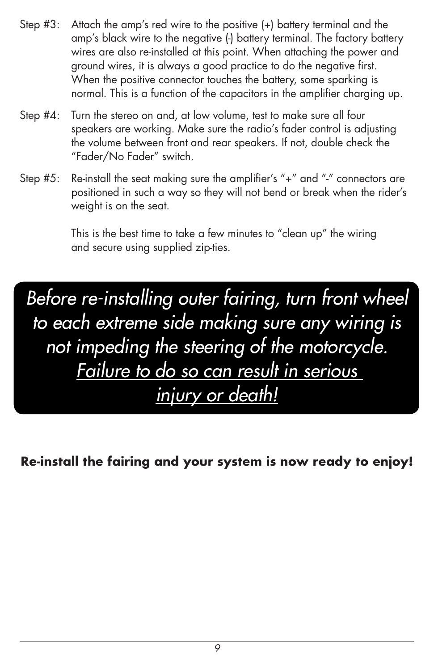- Step #3: Attach the amp's red wire to the positive (+) battery terminal and the amp's black wire to the negative (-) battery terminal. The factory battery wires are also re-installed at this point. When attaching the power and ground wires, it is always a good practice to do the negative first. When the positive connector touches the battery, some sparking is normal. This is a function of the capacitors in the amplifier charging up.
- Step #4: Turn the stereo on and, at low volume, test to make sure all four speakers are working. Make sure the radio's fader control is adjusting the volume between front and rear speakers. If not, double check the "Fader/No Fader" switch.
- Step #5: Re-install the seat making sure the amplifier's "+" and "-" connectors are positioned in such a way so they will not bend or break when the rider's weight is on the seat.

This is the best time to take a few minutes to "clean up" the wiring and secure using supplied zip-ties.

*Before re-installing outer fairing, turn front wheel to each extreme side making sure any wiring is not impeding the steering of the motorcycle. Failure to do so can result in serious injury or death!*

**Re-install the fairing and your system is now ready to enjoy!**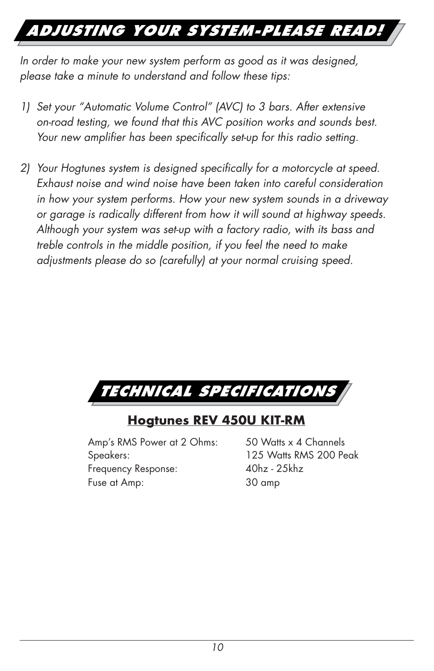## *Adjusting Your System-Please Read!*

*In order to make your new system perform as good as it was designed, please take a minute to understand and follow these tips:*

- *1) Set your "Automatic Volume Control" (AVC) to 3 bars. After extensive on-road testing, we found that this AVC position works and sounds best. Your new amplifier has been specifically set-up for this radio setting.*
- *2) Your Hogtunes system is designed specifically for a motorcycle at speed. Exhaust noise and wind noise have been taken into careful consideration in how your system performs. How your new system sounds in a driveway or garage is radically different from how it will sound at highway speeds. Although your system was set-up with a factory radio, with its bass and treble controls in the middle position, if you feel the need to make adjustments please do so (carefully) at your normal cruising speed.*



#### **Hogtunes REV 450U KIT-RM**

Amp's RMS Power at 2 Ohms: 50 Watts x 4 Channels Speakers: 125 Watts RMS 200 Peak Frequency Response: 40hz - 25khz Fuse at Amp: 30 amp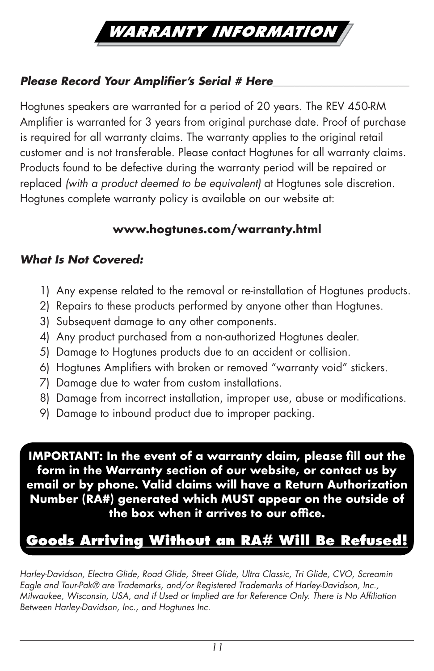

#### *Please Record Your Amplifier's Serial # Here\_\_\_\_\_\_\_\_\_\_\_\_\_\_\_\_\_\_\_\_\_\_\_\_\_*

Hogtunes speakers are warranted for a period of 20 years. The REV 450-RM Amplifier is warranted for 3 years from original purchase date. Proof of purchase is required for all warranty claims. The warranty applies to the original retail customer and is not transferable. Please contact Hogtunes for all warranty claims. Products found to be defective during the warranty period will be repaired or replaced *(with a product deemed to be equivalent)* at Hogtunes sole discretion. Hogtunes complete warranty policy is available on our website at:

#### **www.hogtunes.com/warranty.html**

#### *What Is Not Covered:*

- 1) Any expense related to the removal or re-installation of Hogtunes products.
- 2) Repairs to these products performed by anyone other than Hogtunes.
- 3) Subsequent damage to any other components.
- 4) Any product purchased from a non-authorized Hogtunes dealer.
- 5) Damage to Hogtunes products due to an accident or collision.
- 6) Hogtunes Amplifiers with broken or removed "warranty void" stickers.
- 7) Damage due to water from custom installations.
- 8) Damage from incorrect installation, improper use, abuse or modifications.
- 9) Damage to inbound product due to improper packing.

**IMPORTANT: In the event of a warranty claim, please fill out the form in the Warranty section of our website, or contact us by email or by phone. Valid claims will have a Return Authorization Number (RA#) generated which MUST appear on the outside of the box when it arrives to our office.**

### **Goods Arriving Without an RA# Will Be Refused!**

*Harley-Davidson, Electra Glide, Road Glide, Street Glide, Ultra Classic, Tri Glide, CVO, Screamin Eagle and Tour-Pak® are Trademarks, and/or Registered Trademarks of Harley-Davidson, Inc., Milwaukee, Wisconsin, USA, and if Used or Implied are for Reference Only. There is No Affiliation Between Harley-Davidson, Inc., and Hogtunes Inc.*